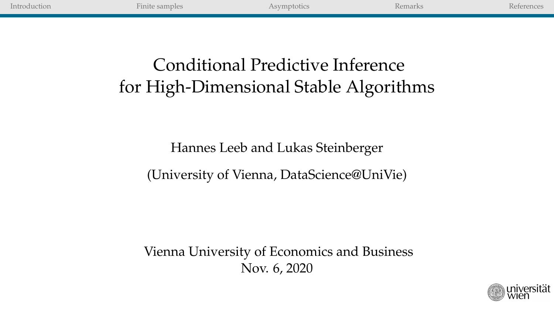| Introduction | Finite samples | Asymptotics                                                                | Remarks | References |
|--------------|----------------|----------------------------------------------------------------------------|---------|------------|
|              |                |                                                                            |         |            |
|              |                | Conditional Predictive Inference<br>for High-Dimensional Stable Algorithms |         |            |

# Hannes Leeb and Lukas Steinberger

(University of Vienna, DataScience@UniVie)

Vienna University of Economics and Business Nov. 6, 2020

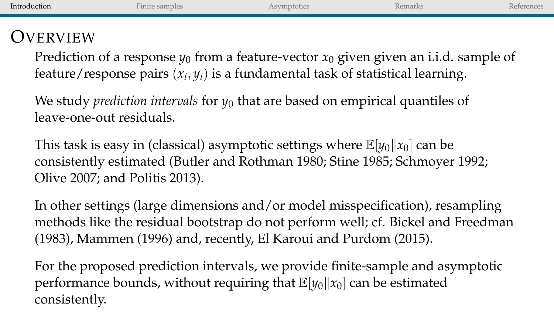| Introduction | Finite samples | Asymptotics | Remarks                                                                                                                                                                          | References |
|--------------|----------------|-------------|----------------------------------------------------------------------------------------------------------------------------------------------------------------------------------|------------|
| OVERVIEW     |                |             | Prediction of a response $y_0$ from a feature-vector $x_0$ given given an i.i.d. sample of<br>feature/response pairs $(x_i, y_i)$ is a fundamental task of statistical learning. |            |

We study *prediction intervals* for *y*<sup>0</sup> that are based on empirical quantiles of leave-one-out residuals.

This task is easy in (classical) asymptotic settings where  $\mathbb{E}[y_0||x_0]$  can be consistently estimated (Butler and Rothman 1980; Stine 1985; Schmoyer 1992; Olive 2007; and Politis 2013).

In other settings (large dimensions and/or model misspecification), resampling methods like the residual bootstrap do not perform well; cf. Bickel and Freedman (1983), Mammen (1996) and, recently, El Karoui and Purdom (2015).

For the proposed prediction intervals, we provide finite-sample and asymptotic performance bounds, without requiring that  $\mathbb{E}[y_0||x_0]$  can be estimated consistently.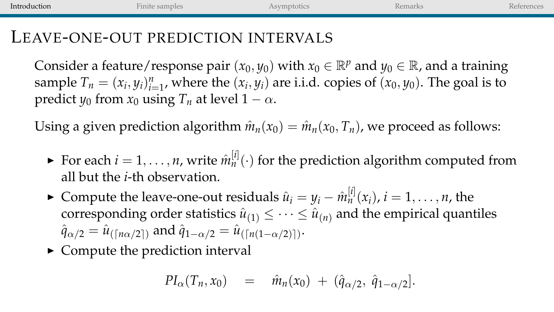| Introduction | Finite samples                                                                                                                                                                                                                       | Asymptotics | Remarks | References |
|--------------|--------------------------------------------------------------------------------------------------------------------------------------------------------------------------------------------------------------------------------------|-------------|---------|------------|
|              | LEAVE-ONE-OUT PREDICTION INTERVALS                                                                                                                                                                                                   |             |         |            |
|              | Consider a feature/response pair $(x_0, y_0)$ with $x_0 \in \mathbb{R}^p$ and $y_0 \in \mathbb{R}$ , and a training<br>sample $T_n = (x_i, y_i)_{i=1}^n$ , where the $(x_i, y_i)$ are i.i.d. copies of $(x_0, y_0)$ . The goal is to |             |         |            |

 $\sum_{i=1}^{\infty}$  *i*<sub>n</sub> =  $\left(x_i, y_i\right)_{i=1}^{\infty}$ , where the  $\left(x_i, y_i\right)$  **c**.

Using a given prediction algorithm  $\hat{m}_n(x_0) = \hat{m}_n(x_0, T_n)$ , we proceed as follows:

- For each  $i = 1, ..., n$ , write  $\hat{m}_n^{[i]}(\cdot)$  for the prediction algorithm computed from all but the *i*-th observation.
- ► Compute the leave-one-out residuals  $\hat{u}_i = y_i \hat{m}_n^{[i]}(x_i)$ ,  $i = 1, \ldots, n$ , the corresponding order statistics  $\hat{u}_{(1)} \leq \cdots \leq \hat{u}_{(n)}$  and the empirical quantiles  $\hat{q}_{\alpha/2} = \hat{u}_{(\lceil n\alpha/2 \rceil)}$  and  $\hat{q}_{1-\alpha/2} = \hat{u}_{(\lceil n(1-\alpha/2) \rceil)}.$
- $\triangleright$  Compute the prediction interval

$$
PI_{\alpha}(T_n, x_0) = \hat{m}_n(x_0) + (\hat{q}_{\alpha/2}, \hat{q}_{1-\alpha/2}].
$$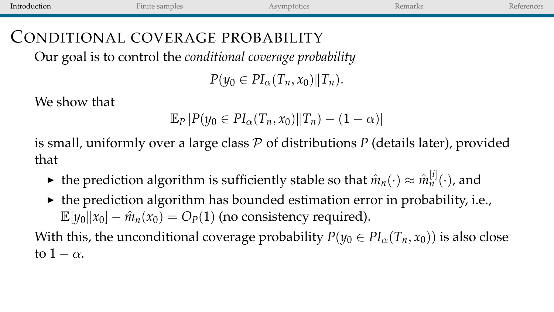| Introduction                     | Finite samples                                                     | Asymptotics | Remarks | References |
|----------------------------------|--------------------------------------------------------------------|-------------|---------|------------|
| CONDITIONAL COVERAGE PROBABILITY | Our goal is to control the <i>conditional</i> coverage probability |             |         |            |
|                                  |                                                                    |             |         |            |

 $P(\psi_0 \in PI_{\alpha}(T_n, x_0)||T_n).$ 

We show that

$$
\mathbb{E}_P |P(y_0 \in PI_\alpha(T_n, x_0) || T_n) - (1 - \alpha)|
$$

is small, uniformly over a large class  $P$  of distributions  $P$  (details later), provided that

- ► the prediction algorithm is sufficiently stable so that  $\hat{m}_n(\cdot) \approx \hat{m}_n^{[i]}(\cdot)$ , and
- $\triangleright$  the prediction algorithm has bounded estimation error in probability, i.e.,  $\mathbb{E}[y_0||x_0] - \hat{m}_n(x_0) = O_p(1)$  (no consistency required).

With this, the unconditional coverage probability  $P(y_0 \in PI_\alpha(T_n, x_0))$  is also close to  $1 - \alpha$ .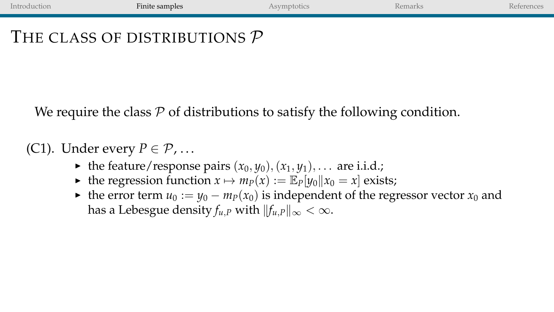# <span id="page-4-0"></span>THE CLASS OF DISTRIBUTIONS  $\mathcal{P}$

We require the class  $P$  of distributions to satisfy the following condition.

#### (C1). Under every  $P \in \mathcal{P}$ , ...

- $\blacktriangleright$  the feature/response pairs  $(x_0, y_0), (x_1, y_1), \ldots$  are i.i.d.;
- ▶ the regression function  $x \mapsto m_P(x) := \mathbb{E}_P[y_0||x_0 = x]$  exists;
- $\triangleright$  the error term *u*<sub>0</sub> := *y*<sub>0</sub> − *m*<sub>*P*</sub>(*x*<sub>0</sub>) is independent of the regressor vector *x*<sub>0</sub> and has a Lebesgue density  $f_{\mu}$ *<sub>P</sub>* with  $||f_{\mu}$ <sub>*P*</sub> $||_{\infty} < \infty$ .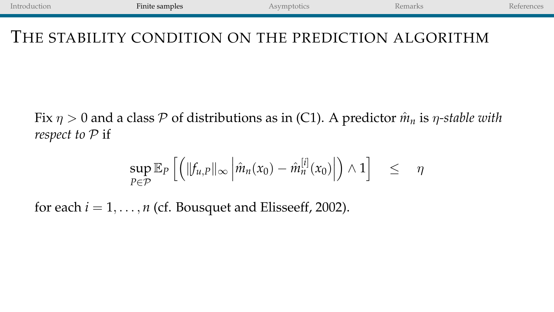#### THE STABILITY CONDITION ON THE PREDICTION ALGORITHM

Fix  $\eta > 0$  and a class P of distributions as in (C1). A predictor  $\hat{m}_n$  is  $\eta$ -stable with *respect to*  $P$  if

$$
\sup_{P\in\mathcal{P}}\mathbb{E}_P\left[\left(\|f_{u,P}\|_{\infty}\left|\hat{m}_n(x_0)-\hat{m}_n^{[i]}(x_0)\right|\right)\wedge 1\right] \leq \eta
$$

for each  $i = 1, \ldots, n$  (cf. Bousquet and Elisseeff, 2002).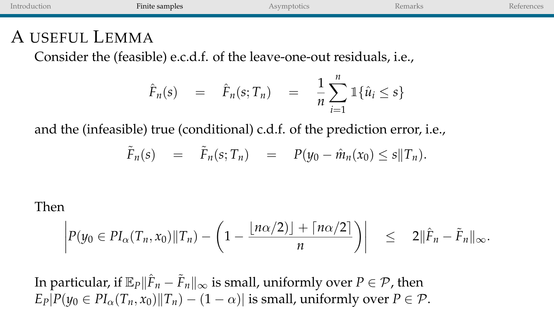| Introduction   | Finite samples                                                         | Asymptotics | Remarks | <b>References</b> |
|----------------|------------------------------------------------------------------------|-------------|---------|-------------------|
| A USEFUL LEMMA | Consider the (feasible) e.c.d.f. of the leave-one-out residuals, i.e., |             |         |                   |
|                |                                                                        |             |         |                   |

$$
\hat{F}_n(s) = \hat{F}_n(s; T_n) = \frac{1}{n} \sum_{i=1}^n \mathbb{1} \{\hat{u}_i \leq s\}
$$

and the (infeasible) true (conditional) c.d.f. of the prediction error, i.e.,

$$
\tilde{F}_n(s) = \tilde{F}_n(s; T_n) = P(y_0 - \hat{m}_n(x_0) \leq s \| T_n).
$$

#### Then

$$
\left| P(y_0 \in PI_\alpha(T_n, x_0) \| T_n) - \left(1 - \frac{\lfloor n\alpha/2 \rfloor + \lceil n\alpha/2 \rceil}{n} \right) \right| \leq 2 \|\hat{F}_n - \tilde{F}_n\|_\infty.
$$

In particular, if  $\mathbb{E}_P\|\hat{F}_n - \tilde{F}_n\|_\infty$  is small, uniformly over  $P\in\mathcal{P}$ , then  $E_P|P(y_0 \in PI_\alpha(T_n, x_0)||T_n) - (1 - \alpha)|$  is small, uniformly over  $P \in \mathcal{P}$ .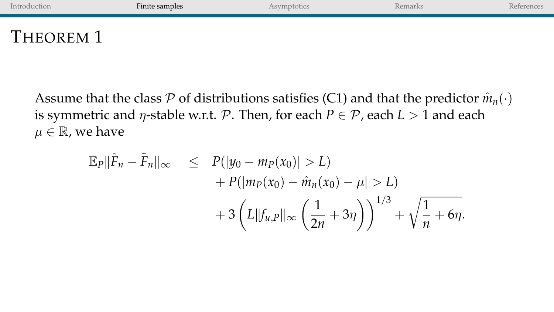| Introduction | Finite samples | Asymptotics | Remarks | References |
|--------------|----------------|-------------|---------|------------|
| THEOREM 1    |                |             |         |            |

Assume that the class  $P$  of distributions satisfies (C1) and that the predictor  $\hat{m}_n(\cdot)$ is symmetric and  $\eta$ -stable w.r.t. P. Then, for each  $P \in \mathcal{P}$ , each  $L > 1$  and each  $\mu \in \mathbb{R}$ , we have

$$
\mathbb{E}_{P} \|\hat{F}_{n} - \tilde{F}_{n}\|_{\infty} \le P(\left|y_{0} - m_{P}(x_{0})\right| > L) + P(\left|m_{P}(x_{0}) - \hat{m}_{n}(x_{0}) - \mu\right| > L) + 3\left(L\|f_{u,P}\|_{\infty}\left(\frac{1}{2n} + 3\eta\right)\right)^{1/3} + \sqrt{\frac{1}{n} + 6\eta}.
$$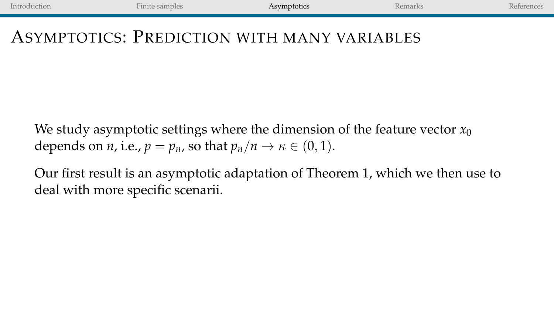#### <span id="page-8-0"></span>ASYMPTOTICS: PREDICTION WITH MANY VARIABLES

We study asymptotic settings where the dimension of the feature vector  $x_0$ depends on *n*, i.e.,  $p = p_n$ , so that  $p_n/n \to \kappa \in (0, 1)$ .

Our first result is an asymptotic adaptation of Theorem 1, which we then use to deal with more specific scenarii.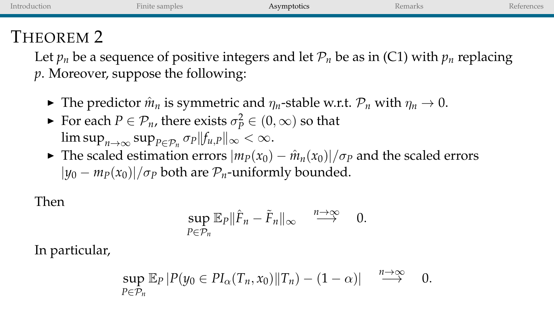| THEOREM 2<br>Let $p_n$ be a sequence of positive integers and let $\mathcal{P}_n$ be as in (C1) with $p_n$ replacing | Introduction | Finite samples | Asymptotics | Remarks | References |
|----------------------------------------------------------------------------------------------------------------------|--------------|----------------|-------------|---------|------------|
| $p$ . Moreover, suppose the following:                                                                               |              |                |             |         |            |

- If The predictor  $\hat{m}_n$  is symmetric and  $\eta_n$ -stable w.r.t.  $\mathcal{P}_n$  with  $\eta_n \to 0$ .
- For each  $P \in \mathcal{P}_n$ , there exists  $\sigma_P^2 \in (0, \infty)$  so that  $\limsup_{n\to\infty}\sup_{P\in\mathcal{P}_n}\sigma_P\|f_{u,P}\|_\infty<\infty.$
- $\triangleright$  The scaled estimation errors  $|m_P(x_0) \hat{m}_n(x_0)|/\sigma_P$  and the scaled errors  $|y_0 - m_P(x_0)|/\sigma_P$  both are  $P_n$ -uniformly bounded.

Then

$$
\sup_{P\in\mathcal{P}_n}\mathbb{E}_P\|\hat{F}_n-\tilde{F}_n\|_{\infty}\quad\stackrel{n\to\infty}{\longrightarrow}\quad 0.
$$

In particular,

$$
\sup_{P\in\mathcal{P}_n}\mathbb{E}_P\left|P(y_0\in PI_\alpha(T_n,x_0)\|T_n)-(1-\alpha)\right|\quad\stackrel{n\to\infty}{\longrightarrow}\quad 0.
$$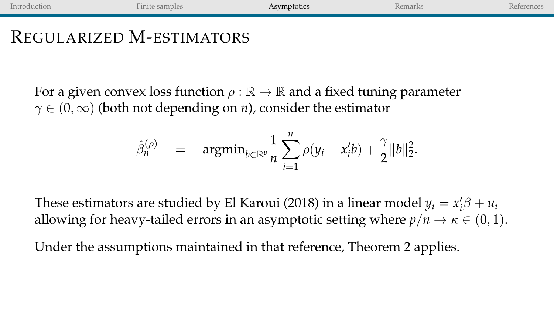# REGULARIZED M-ESTIMATORS

For a given convex loss function  $\rho : \mathbb{R} \to \mathbb{R}$  and a fixed tuning parameter  $\gamma \in (0,\infty)$  (both not depending on *n*), consider the estimator

$$
\hat{\beta}_n^{(\rho)} = \operatorname{argmin}_{b \in \mathbb{R}^p} \frac{1}{n} \sum_{i=1}^n \rho(y_i - x_i' b) + \frac{\gamma}{2} ||b||_2^2.
$$

These estimators are studied by El Karoui (2018) in a linear model  $y_i = x_i' \beta + u_i$ allowing for heavy-tailed errors in an asymptotic setting where  $p/n \to \kappa \in (0,1)$ .

Under the assumptions maintained in that reference, Theorem 2 applies.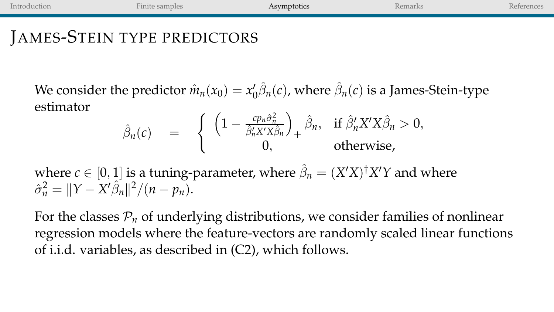### JAMES-STEIN TYPE PREDICTORS

We consider the predictor  $\hat{m}_n(x_0) = x'_0 \hat{\beta}_n(c)$ , where  $\hat{\beta}_n(c)$  is a James-Stein-type estimator

$$
\hat{\beta}_n(c) = \begin{cases} \left(1 - \frac{cp_n\hat{\sigma}_n^2}{\hat{\beta}_n^{\prime}X^{\prime}X\hat{\beta}_n}\right)_+ \hat{\beta}_n, & \text{if } \hat{\beta}_n^{\prime}X^{\prime}X\hat{\beta}_n > 0, \\ 0, & \text{otherwise,} \end{cases}
$$

where  $c \in [0,1]$  is a tuning-parameter, where  $\hat{\beta}_n = (X'X)^{\dagger}X'Y$  and where  $\hat{\sigma}_n^2 = ||Y - X'\hat{\beta}_n||^2 / (n - p_n).$ 

For the classes  $P_n$  of underlying distributions, we consider families of nonlinear regression models where the feature-vectors are randomly scaled linear functions of i.i.d. variables, as described in (C2), which follows.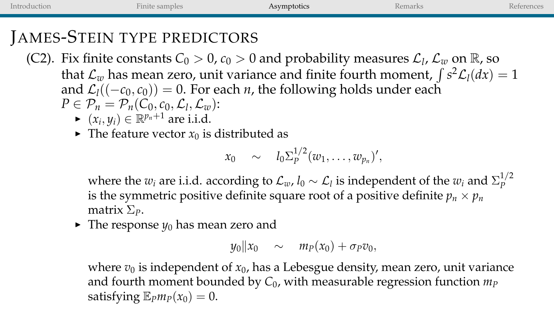[Introduction](#page--1-0) **[Finite samples](#page-4-0) [Asymptotics](#page-8-0) [Remarks](#page-18-0)** Remarks [References](#page-20-0) JAMES-STEIN TYPE PREDICTORS (C2). Fix finite constants  $C_0 > 0$ ,  $c_0 > 0$  and probability measures  $\mathcal{L}_l$ ,  $\mathcal{L}_w$  on  $\mathbb{R}$ , so

that  $\mathcal{L}_w$  has mean zero, unit variance and finite fourth moment,  $\int s^2 \mathcal{L}_l(dx) = 1$ and  $\mathcal{L}_1((-\mathcal{C}_0, \mathcal{C}_0)) = 0$ . For each *n*, the following holds under each  $P \in \mathcal{P}_n = \mathcal{P}_n(C_0, c_0, \mathcal{L}_l, \mathcal{L}_w)$ :

- ►  $(x_i, y_i) \in \mathbb{R}^{p_n+1}$  are i.i.d.
- $\blacktriangleright$  The feature vector  $x_0$  is distributed as

$$
x_0 \sim l_0 \Sigma_P^{1/2}(w_1,\ldots,w_{p_n})',
$$

where the  $w_i$  are i.i.d. according to  $\mathcal{L}_w$ ,  $l_0 \sim \mathcal{L}_l$  is independent of the  $w_i$  and  $\Sigma_p^{1/2}$ *P* is the symmetric positive definite square root of a positive definite  $p_n \times p_n$ matrix Σ*P*.

 $\blacktriangleright$  The response  $y_0$  has mean zero and

$$
y_0\|x_0 \quad \sim \quad m_P(x_0) + \sigma_P v_0,
$$

where  $v_0$  is independent of  $x_0$ , has a Lebesgue density, mean zero, unit variance and fourth moment bounded by  $C_0$ , with measurable regression function  $m_p$ satisfying  $\mathbb{E}_{P}m_{P}(x_0) = 0$ .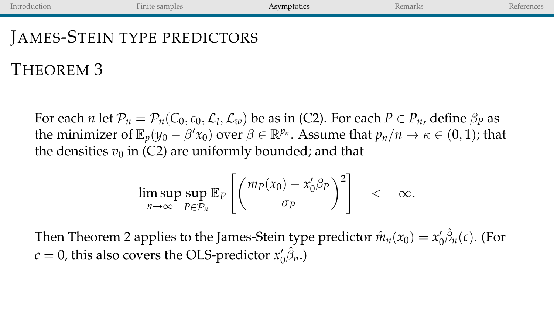# JAMES-STEIN TYPE PREDICTORS

# THEOREM 3

For each *n* let  $\mathcal{P}_n = \mathcal{P}_n(C_0, c_0, \mathcal{L}_l, \mathcal{L}_w)$  be as in (C2). For each  $P \in \mathcal{P}_n$ , define  $\beta_P$  as the minimizer of  $\mathbb{E}_p(y_0 - \beta' x_0)$  over  $\beta \in \mathbb{R}^{p_n}$ . Assume that  $p_n/n \to \kappa \in (0,1)$ ; that the densities  $v_0$  in (C2) are uniformly bounded; and that

$$
\limsup_{n\to\infty}\sup_{P\in\mathcal{P}_n}\mathbb{E}_P\left[\left(\frac{m_P(x_0)-x_0'\beta_P}{\sigma_P}\right)^2\right] < \infty.
$$

Then Theorem 2 applies to the James-Stein type predictor  $\hat{m}_n(x_0) = x'_0 \hat{\beta}_n(c)$ . (For  $c = 0$ , this also covers the OLS-predictor  $x_0 \hat{\beta}_n$ .)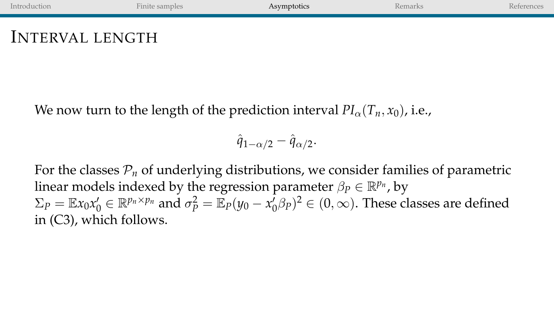## INTERVAL LENGTH

We now turn to the length of the prediction interval  $PI_{\alpha}(T_n, x_0)$ , i.e.,

$$
\hat{q}_{1-\alpha/2}-\hat{q}_{\alpha/2}.
$$

For the classes  $\mathcal{P}_n$  of underlying distributions, we consider families of parametric linear models indexed by the regression parameter  $\beta_P \in \mathbb{R}^{p_n}$ , by  $\Sigma_P = \mathbb{E} x_0 x_0' \in \mathbb{R}^{p_n \times p_n}$  and  $\sigma_P^2 = \mathbb{E}_P (y_0 - x_0' \beta_P)^2 \in (0, \infty)$ . These classes are defined in (C3), which follows.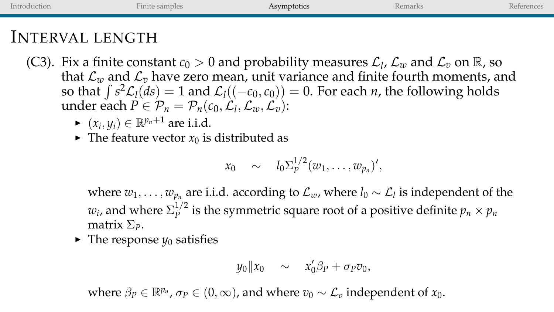### INTERVAL LENGTH

- (C3). Fix a finite constant  $c_0 > 0$  and probability measures  $\mathcal{L}_l$ ,  $\mathcal{L}_w$  and  $\mathcal{L}_v$  on  $\mathbb{R}$ , so that  $\mathcal{L}_w$  and  $\mathcal{L}_v$  have zero mean, unit variance and finite fourth moments, and so that  $\int s^2 \mathcal{L}_1(ds) = 1$  and  $\mathcal{L}_1((-c_0, c_0)) = 0$ . For each *n*, the following holds under each  $P \in \mathcal{P}_n = \mathcal{P}_n(c_0, \mathcal{L}_l, \mathcal{L}_w, \mathcal{L}_v)$ :
	- $\blacktriangleright$   $(x_i, y_i) \in \mathbb{R}^{p_n+1}$  are i.i.d.
	- $\blacktriangleright$  The feature vector  $x_0$  is distributed as

$$
x_0 \sim l_0 \Sigma_p^{1/2} (w_1,\ldots,w_{p_n})',
$$

where  $w_1, \ldots, w_{p_n}$  are i.i.d. according to  $\mathcal{L}_w$ , where  $l_0 \sim \mathcal{L}_l$  is independent of the  $w_i$ , and where  $\Sigma_P^{1/2}$  $P_p^{1/2}$  is the symmetric square root of a positive definite  $p_n \times p_n$ matrix Σ*P*.

 $\blacktriangleright$  The response  $y_0$  satisfies

$$
y_0\|x_0 \quad \sim \quad x'_0\beta_P + \sigma_P v_0,
$$

where  $\beta_P \in \mathbb{R}^{p_n}$ ,  $\sigma_P \in (0, \infty)$ , and where  $v_0 \sim \mathcal{L}_v$  independent of  $x_0$ .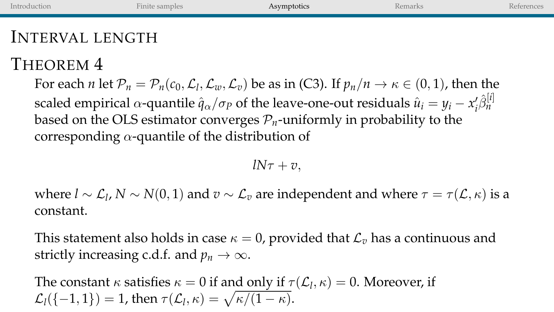| Introduction    | Finite samples                                                                                                                                                     | Asymptotics | Remarks | References |
|-----------------|--------------------------------------------------------------------------------------------------------------------------------------------------------------------|-------------|---------|------------|
| INTERVAL LENGTH |                                                                                                                                                                    |             |         |            |
| THEOREM 4       |                                                                                                                                                                    |             |         |            |
|                 | For each <i>n</i> let $\mathcal{P}_n = \mathcal{P}_n(c_0, \mathcal{L}_1, \mathcal{L}_w, \mathcal{L}_v)$ be as in (C3). If $p_n/n \to \kappa \in (0, 1)$ , then the |             |         |            |

scaled empirical  $\alpha$ -quantile  $\hat{q}_\alpha/\sigma_P$  of the leave-one-out residuals  $\hat{u}_i = y_i - x'_i \hat{\beta}_n^{[i]}$ based on the OLS estimator converges  $\mathcal{P}_n$ -uniformly in probability to the corresponding  $\alpha$ -quantile of the distribution of

 $lN\tau + v$ .

where  $l \sim \mathcal{L}_l$ ,  $N \sim N(0, 1)$  and  $v \sim \mathcal{L}_v$  are independent and where  $\tau = \tau(\mathcal{L}, \kappa)$  is a constant.

This statement also holds in case  $\kappa = 0$ , provided that  $\mathcal{L}_v$  has a continuous and strictly increasing c.d.f. and  $p_n \to \infty$ .

The constant  $\kappa$  satisfies  $\kappa = 0$  if and only if  $\tau(\mathcal{L}_l, \kappa) = 0$ . Moreover, if  $\mathcal{L}_l(\{-1,1\}) = 1$ , then  $\tau(\mathcal{L}_l, \kappa) = \sqrt{\kappa/(1-\kappa)}$ .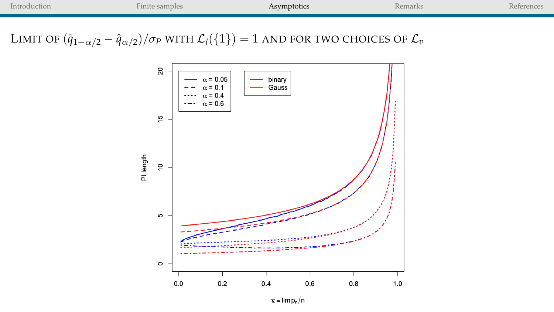

LIMIT OF  $(\hat{q}_{1-\alpha/2} - \hat{q}_{\alpha/2})/\sigma_P$  WITH  $\mathcal{L}_l({1}) = 1$  AND FOR TWO CHOICES OF  $\mathcal{L}_v$ 



 $\kappa = \lim p_n/n$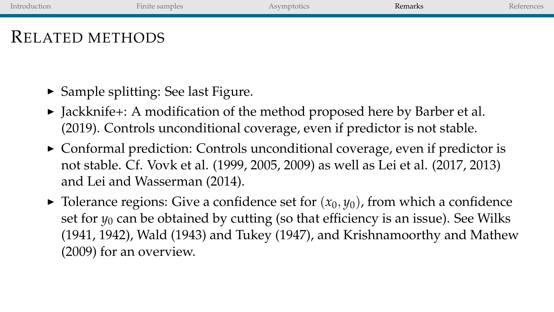# <span id="page-18-0"></span>RELATED METHODS

- $\triangleright$  Sample splitting: See last Figure.
- ▶ Jackknife+: A modification of the method proposed here by Barber et al. (2019). Controls unconditional coverage, even if predictor is not stable.
- $\triangleright$  Conformal prediction: Controls unconditional coverage, even if predictor is not stable. Cf. Vovk et al. (1999, 2005, 2009) as well as Lei et al. (2017, 2013) and Lei and Wasserman (2014).
- $\triangleright$  Tolerance regions: Give a confidence set for  $(x_0, y_0)$ , from which a confidence set for  $y_0$  can be obtained by cutting (so that efficiency is an issue). See Wilks (1941, 1942), Wald (1943) and Tukey (1947), and Krishnamoorthy and Mathew (2009) for an overview.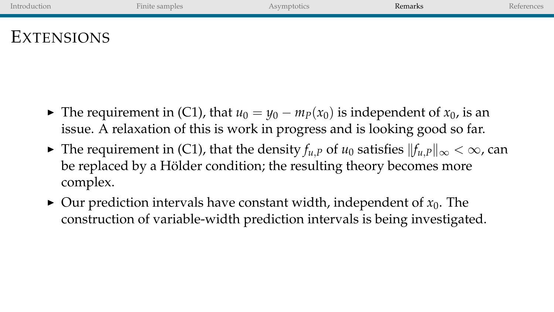| Introduction | Finite samples | Asymptotics | Remarks | References |
|--------------|----------------|-------------|---------|------------|
|              |                |             |         |            |
|              |                |             |         |            |

# EXTENSIONS

- $\triangleright$  The requirement in (C1), that *u*<sub>0</sub> = *y*<sub>0</sub> − *m<sub>P</sub>*(*x*<sub>0</sub>) is independent of *x*<sub>0</sub>, is an issue. A relaxation of this is work in progress and is looking good so far.
- **►** The requirement in (C1), that the density  $f_{u,P}$  of  $u_0$  satisfies  $||f_{u,P}||_{\infty} < \infty$ , can be replaced by a Hölder condition; the resulting theory becomes more complex.
- $\triangleright$  Our prediction intervals have constant width, independent of  $x_0$ . The construction of variable-width prediction intervals is being investigated.